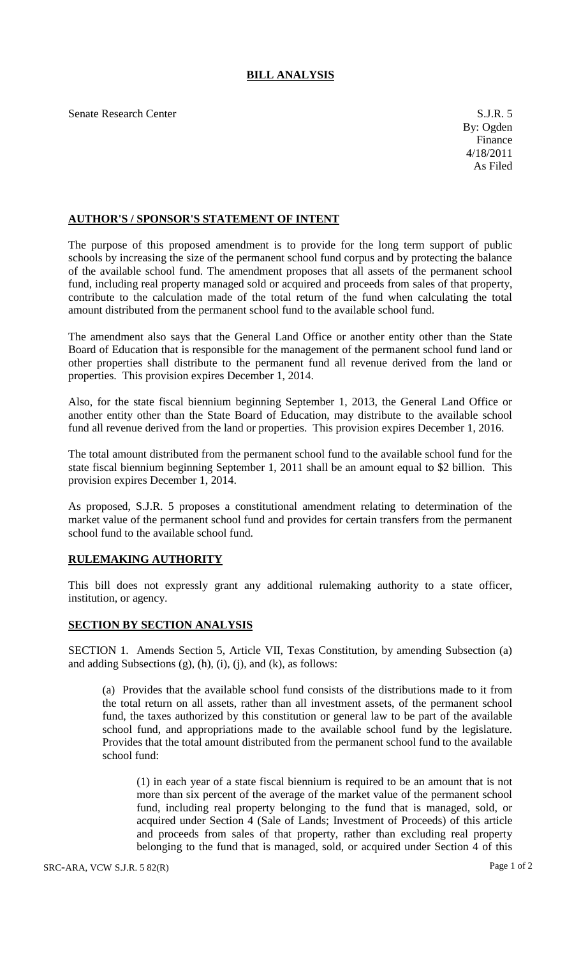## **BILL ANALYSIS**

Senate Research Center S.J.R. 5

## **AUTHOR'S / SPONSOR'S STATEMENT OF INTENT**

The purpose of this proposed amendment is to provide for the long term support of public schools by increasing the size of the permanent school fund corpus and by protecting the balance of the available school fund. The amendment proposes that all assets of the permanent school fund, including real property managed sold or acquired and proceeds from sales of that property, contribute to the calculation made of the total return of the fund when calculating the total amount distributed from the permanent school fund to the available school fund.

The amendment also says that the General Land Office or another entity other than the State Board of Education that is responsible for the management of the permanent school fund land or other properties shall distribute to the permanent fund all revenue derived from the land or properties. This provision expires December 1, 2014.

Also, for the state fiscal biennium beginning September 1, 2013, the General Land Office or another entity other than the State Board of Education, may distribute to the available school fund all revenue derived from the land or properties. This provision expires December 1, 2016.

The total amount distributed from the permanent school fund to the available school fund for the state fiscal biennium beginning September 1, 2011 shall be an amount equal to \$2 billion. This provision expires December 1, 2014.

As proposed, S.J.R. 5 proposes a constitutional amendment relating to determination of the market value of the permanent school fund and provides for certain transfers from the permanent school fund to the available school fund.

## **RULEMAKING AUTHORITY**

This bill does not expressly grant any additional rulemaking authority to a state officer, institution, or agency.

## **SECTION BY SECTION ANALYSIS**

SECTION 1. Amends Section 5, Article VII, Texas Constitution, by amending Subsection (a) and adding Subsections (g), (h), (i), (j), and (k), as follows:

(a) Provides that the available school fund consists of the distributions made to it from the total return on all assets, rather than all investment assets, of the permanent school fund, the taxes authorized by this constitution or general law to be part of the available school fund, and appropriations made to the available school fund by the legislature. Provides that the total amount distributed from the permanent school fund to the available school fund:

(1) in each year of a state fiscal biennium is required to be an amount that is not more than six percent of the average of the market value of the permanent school fund, including real property belonging to the fund that is managed, sold, or acquired under Section 4 (Sale of Lands; Investment of Proceeds) of this article and proceeds from sales of that property, rather than excluding real property belonging to the fund that is managed, sold, or acquired under Section 4 of this